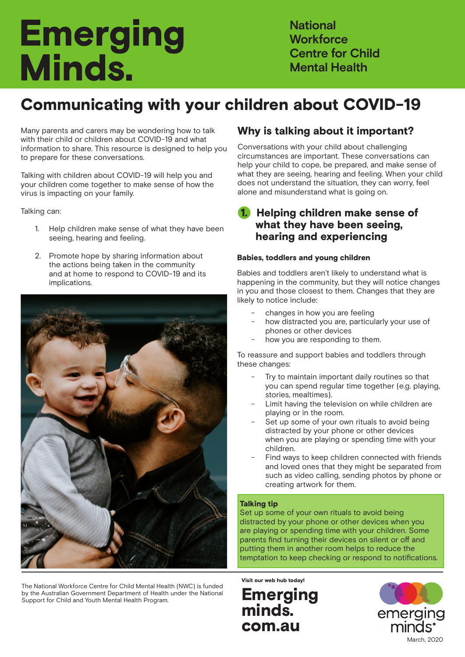# **Emerging** Minds.

**National Workforce Centre for Child Mental Health**

# Communicating with your children about COVID-19

Many parents and carers may be wondering how to talk with their child or children about COVID-19 and what information to share. This resource is designed to help you to prepare for these conversations.

Talking with children about COVID-19 will help you and your children come together to make sense of how the virus is impacting on your family.

Talking can:

- 1. Help children make sense of what they have been seeing, hearing and feeling.
- 2. Promote hope by sharing information about the actions being taken in the community and at home to respond to COVID-19 and its implications.



The National Workforce Centre for Child Mental Health (NWC) is funded by the Australian Government Department of Health under the National **Emerging** 

# Why is talking about it important?

Conversations with your child about challenging circumstances are important. These conversations can help your child to cope, be prepared, and make sense of what they are seeing, hearing and feeling. When your child does not understand the situation, they can worry, feel alone and misunderstand what is going on.

## 1. Helping children make sense of what they have been seeing, hearing and experiencing

#### Babies, toddlers and young children

Babies and toddlers aren't likely to understand what is happening in the community, but they will notice changes in you and those closest to them. Changes that they are likely to notice include:

- changes in how you are feeling
- how distracted you are, particularly your use of phones or other devices
- how you are responding to them.

To reassure and support babies and toddlers through these changes:

- Try to maintain important daily routines so that you can spend regular time together (e.g. playing, stories, mealtimes).
- Limit having the television on while children are playing or in the room.
- Set up some of your own rituals to avoid being distracted by your phone or other devices when you are playing or spending time with your children.
- Find ways to keep children connected with friends and loved ones that they might be separated from such as video calling, sending photos by phone or creating artwork for them.

#### Talking tip

Set up some of your own rituals to avoid being distracted by your phone or other devices when you are playing or spending time with your children. Some parents find turning their devices on silent or off and putting them in another room helps to reduce the temptation to keep checking or respond to notifications.

Visit our web hub today!

minds. com.au

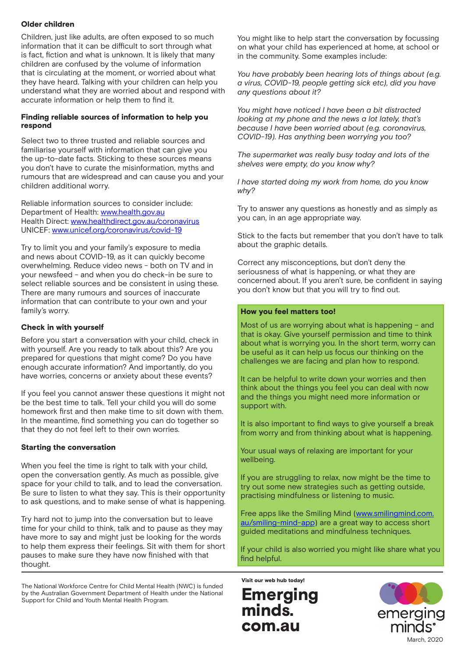#### Older children

Children, just like adults, are often exposed to so much information that it can be difficult to sort through what is fact, fiction and what is unknown. It is likely that many children are confused by the volume of information that is circulating at the moment, or worried about what they have heard. Talking with your children can help you understand what they are worried about and respond with accurate information or help them to find it.

#### Finding reliable sources of information to help you respond

Select two to three trusted and reliable sources and familiarise yourself with information that can give you the up-to-date facts. Sticking to these sources means you don't have to curate the misinformation, myths and rumours that are widespread and can cause you and your children additional worry.

Reliable information sources to consider include: Department of Health: www.health.gov.au Health Direct: www.healthdirect.gov.au/coronavirus UNICEF: www.unicef.org/coronavirus/covid-19

Try to limit you and your family's exposure to media and news about COVID-19, as it can quickly become overwhelming. Reduce video news - both on TV and in your newsfeed - and when you do check-in be sure to select reliable sources and be consistent in using these. There are many rumours and sources of inaccurate information that can contribute to your own and your family's worry.

#### Check in with yourself

Before you start a conversation with your child, check in with yourself. Are you ready to talk about this? Are you prepared for questions that might come? Do you have enough accurate information? And importantly, do you have worries, concerns or anxiety about these events?

If you feel you cannot answer these questions it might not be the best time to talk. Tell your child you will do some homework first and then make time to sit down with them. In the meantime, find something you can do together so that they do not feel left to their own worries.

#### Starting the conversation

When you feel the time is right to talk with your child, open the conversation gently. As much as possible, give space for your child to talk, and to lead the conversation. Be sure to listen to what they say. This is their opportunity to ask questions, and to make sense of what is happening.

Try hard not to jump into the conversation but to leave time for your child to think, talk and to pause as they may have more to say and might just be looking for the words to help them express their feelings. Sit with them for short pauses to make sure they have now finished with that thought.

The National Workforce Centre for Child Mental Health (NWC) is funded by the Australian Government Department of Health under the National **Emerging** 

You might like to help start the conversation by focussing on what your child has experienced at home, at school or in the community. Some examples include:

*You have probably been hearing lots of things about (e.g. a virus, COVID-19, people getting sick etc), did you have any questions about it?* 

*You might have noticed I have been a bit distracted looking at my phone and the news a lot lately, that's because I have been worried about (e.g. coronavirus, COVID-19). Has anything been worrying you too?* 

*The supermarket was really busy today and lots of the shelves were empty, do you know why?*

*I have started doing my work from home, do you know why?*

Try to answer any questions as honestly and as simply as you can, in an age appropriate way.

Stick to the facts but remember that you don't have to talk about the graphic details.

Correct any misconceptions, but don't deny the seriousness of what is happening, or what they are concerned about. If you aren't sure, be confident in saying you don't know but that you will try to find out.

#### How you feel matters too!

Most of us are worrying about what is happening – and that is okay. Give yourself permission and time to think about what is worrying you. In the short term, worry can be useful as it can help us focus our thinking on the challenges we are facing and plan how to respond.

It can be helpful to write down your worries and then think about the things you feel you can deal with now and the things you might need more information or support with.

It is also important to find ways to give yourself a break from worry and from thinking about what is happening.

Your usual ways of relaxing are important for your wellbeing.

If you are struggling to relax, now might be the time to try out some new strategies such as getting outside, practising mindfulness or listening to music.

Free apps like the Smiling Mind (www.smilingmind.com. au/smiling-mind-app) are a great way to access short guided meditations and mindfulness techniques.

If your child is also worried you might like share what you find helpful.

Visit our web hub today!

Emerging<br>minds. com.au

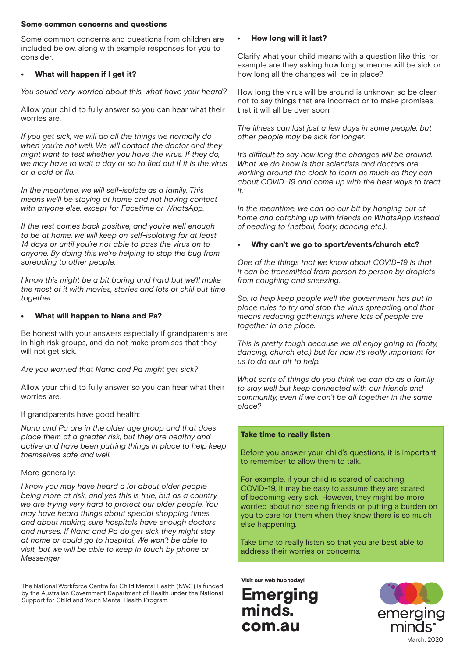#### Some common concerns and questions

Some common concerns and questions from children are included below, along with example responses for you to consider.

#### What will happen if I get it?

*You sound very worried about this, what have your heard?*

Allow your child to fully answer so you can hear what their worries are.

*If you get sick, we will do all the things we normally do when you're not well. We will contact the doctor and they might want to test whether you have the virus. If they do, we may have to wait a day or so to find out if it is the virus or a cold or flu.* 

*In the meantime, we will self-isolate as a family. This means we'll be staying at home and not having contact with anyone else, except for Facetime or WhatsApp.* 

*If the test comes back positive, and you're well enough to be at home, we will keep on self-isolating for at least 14 days or until you're not able to pass the virus on to anyone. By doing this we're helping to stop the bug from spreading to other people.* 

*I know this might be a bit boring and hard but we'll make the most of it with movies, stories and lots of chill out time together.*

#### • What will happen to Nana and Pa?

Be honest with your answers especially if grandparents are in high risk groups, and do not make promises that they will not get sick.

*Are you worried that Nana and Pa might get sick?* 

Allow your child to fully answer so you can hear what their worries are.

If grandparents have good health:

*Nana and Pa are in the older age group and that does place them at a greater risk, but they are healthy and active and have been putting things in place to help keep themselves safe and well.* 

#### More generally:

*I know you may have heard a lot about older people being more at risk, and yes this is true, but as a country we are trying very hard to protect our older people. You may have heard things about special shopping times and about making sure hospitals have enough doctors and nurses. If Nana and Pa do get sick they might stay at home or could go to hospital. We won't be able to visit, but we will be able to keep in touch by phone or Messenger.* 

The National Workforce Centre for Child Mental Health (NWC) is funded by the Australian Government Department of Health under the National **Emerging** 

#### • How long will it last?

Clarify what your child means with a question like this, for example are they asking how long someone will be sick or how long all the changes will be in place?

How long the virus will be around is unknown so be clear not to say things that are incorrect or to make promises that it will all be over soon.

*The illness can last just a few days in some people, but other people may be sick for longer.*

*It's difficult to say how long the changes will be around. What we do know is that scientists and doctors are working around the clock to learn as much as they can about COVID-19 and come up with the best ways to treat it.* 

*In the meantime, we can do our bit by hanging out at home and catching up with friends on WhatsApp instead of heading to (netball, footy, dancing etc.).* 

#### • Why can't we go to sport/events/church etc?

*One of the things that we know about COVID-19 is that it can be transmitted from person to person by droplets from coughing and sneezing.* 

*So, to help keep people well the government has put in place rules to try and stop the virus spreading and that means reducing gatherings where lots of people are together in one place.* 

*This is pretty tough because we all enjoy going to (footy, dancing, church etc.) but for now it's really important for us to do our bit to help.* 

*What sorts of things do you think we can do as a family to stay well but keep connected with our friends and community, even if we can't be all together in the same place?* 

#### Take time to really listen

Before you answer your child's questions, it is important to remember to allow them to talk.

For example, if your child is scared of catching COVID-19, it may be easy to assume they are scared of becoming very sick. However, they might be more worried about not seeing friends or putting a burden on you to care for them when they know there is so much else happening.

Take time to really listen so that you are best able to address their worries or concerns.

minds. com.au Visit our web hub today!